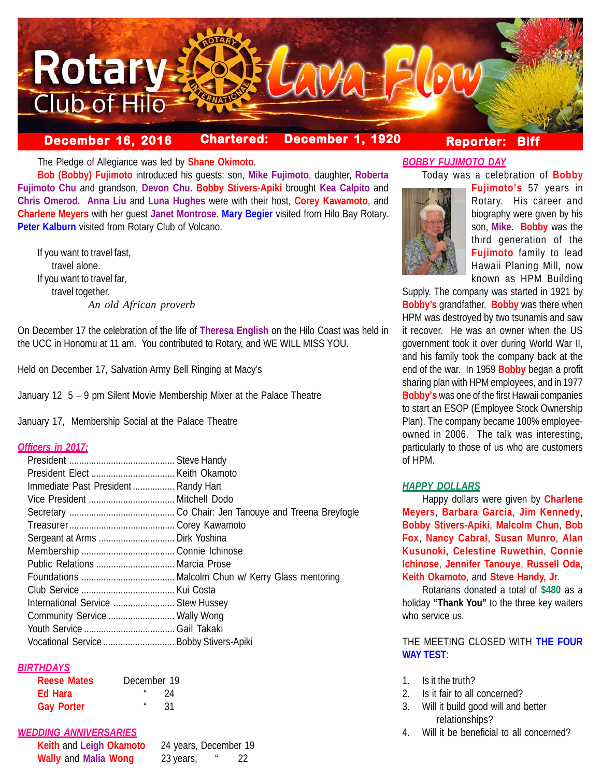

**ber 25, 2015** The Pledge of Allegiance was led by **Shane Okimoto**.

**Bob (Bobby) Fujimoto** introduced his guests: son, **Mike Fujimoto**, daughter, **Roberta Fujimoto Chu** and grandson, **Devon Chu**. **Bobby Stivers-Apiki** brought **Kea Calpito** and **Chris Omerod. Anna Liu** and **Luna Hughes** were with their host, **Corey Kawamoto**, and **Charlene Meyers** with her guest **Janet Montrose**. **Mary Begier** visited from Hilo Bay Rotary. **Peter Kalburn** visited from Rotary Club of Volcano.

If you want to travel fast, travel alone. If you want to travel far, travel together. *An old African proverb*

On December 17 the celebration of the life of **Theresa English** on the Hilo Coast was held in the UCC in Honomu at 11 am. You contributed to Rotary, and WE WILL MISS YOU.

Held on December 17, Salvation Army Bell Ringing at Macy's

January 12 5 – 9 pm Silent Movie Membership Mixer at the Palace Theatre

January 17, Membership Social at the Palace Theatre

# *Officers in 2017:*

| Immediate Past President Randy Hart     |  |
|-----------------------------------------|--|
|                                         |  |
|                                         |  |
|                                         |  |
|                                         |  |
|                                         |  |
| Public Relations  Marcia Prose          |  |
|                                         |  |
|                                         |  |
| International Service  Stew Hussey      |  |
| Community Service  Wally Wong           |  |
|                                         |  |
| Vocational Service  Bobby Stivers-Apiki |  |

# *BIRTHDAYS*

| <b>Reese Mates</b> | December 19                      |  |
|--------------------|----------------------------------|--|
| Ed Hara            | -24<br>$\boldsymbol{\mathsf{u}}$ |  |
| <b>Gay Porter</b>  | $\mathbf{u}$<br>-31              |  |

# *WEDDING ANNIVERSARIES*

| Keith and Leigh Okamoto     | 24 |
|-----------------------------|----|
| <b>Wally and Malia Wong</b> | 23 |

**Keith** and **Leigh Okamoto** 24 years, December 19 **years, "** 22

# *BOBBY FUJIMOTO DAY*

Today was a celebration of **Bobby**



**Fujimoto's** 57 years in Rotary. His career and biography were given by his son, **Mike**. **Bobby** was the third generation of the **Fujimoto** family to lead Hawaii Planing Mill, now known as HPM Building

Supply. The company was started in 1921 by **Bobby's** grandfather. **Bobby** was there when HPM was destroyed by two tsunamis and saw it recover. He was an owner when the US government took it over during World War II, and his family took the company back at the end of the war. In 1959 **Bobby** began a profit sharing plan with HPM employees, and in 1977 **Bobby's** was one of the first Hawaii companies to start an ESOP (Employee Stock Ownership Plan). The company became 100% employeeowned in 2006. The talk was interesting, particularly to those of us who are customers of HPM.

# *HAPPY DOLLARS*

Happy dollars were given by **Charlene Meyers**, **Barbara Garcia**, **Jim Kennedy**, **Bobby Stivers-Apiki**, **Malcolm Chun**, **Bob Fox**, **Nancy Cabral**, **Susan Munro**, **Alan Kusunoki**, **Celestine Ruwethin**, **Connie Ichinose**, **Jennifer Tanouye**, **Russell Oda**, **Keith Okamoto**, and **Steve Handy, Jr.**

Rotarians donated a total of **\$480** as a holiday **"Thank You"** to the three key waiters who service us.

THE MEETING CLOSED WITH **THE FOUR WAY TEST**:

- 1. Is it the truth?
- 2. Is it fair to all concerned?
- 3. Will it build good will and better relationships?
- 4. Will it be beneficial to all concerned?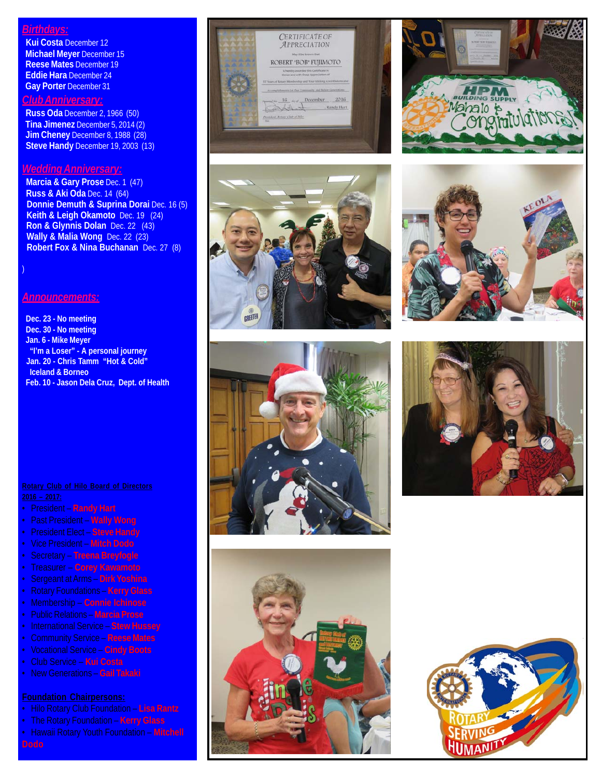# *Birthdays:*

 **Kui Costa** December 12  **Michael Meyer** December 15  **Reese Mates** December 19  **Eddie Hara** December 24  **Gay Porter** December 31

### *Club Anniversary:*

 **Russ Oda** December 2, 1966 (50)  **Tina Jimenez** December 5, 2014 (2) *<u>Imperiment Presentative Present</u>*  **Steve Handy** December 19, 2003 (13)

# *Wedding Anniversary:*

 **Marcia & Gary Prose** Dec. 1 (47)  **Russ & Aki Oda** Dec. 14 (64)  **Donnie Demuth & Suprina Dorai** Dec. 16 (5)  **Keith & Leigh Okamoto** Dec. 19 (24) **Ron & Glynnis Dolan** Dec. 22 (43)  **Wally & Malia Wong** Dec. 22 (23)  **Robert Fox & Nina Buchanan** Dec. 27 (8)

# *Announcements:*

)

 **Dec. 23 - No meeting Dec. 30 - No meeting Jan. 6 - Mike Meyer "I'm a Loser" - A personal journey Jan. 20 - Chris Tamm "Hot & Cold" Iceland & Borneo Feb. 10 - Jason Dela Cruz, Dept. of Health**

- President **Randy Hart**
- Past President **Wally Wong**
- President Elect **Steve Handy**
- Vice President **Mitch Dodo**
- Secretary **Treena Breyfogle**
- Treasurer **Corey Kawamoto**
- Sergeant at Arms **Dirk Yoshina**
- Rotary Foundations **Kerry Glass**
- Membership **Connie Ichinose**
- Public Relations **Marcia Prose**
- International Service **Stew Hussey**
- Community Service **Reese Mates**
- Vocational Service **Cindy Boots**
- Club Service **Kui Costa**
- New Generations **Gail Takaki**

- Hilo Rotary Club Foundation **Lisa Rantz**
- 
- Hawaii Rotary Youth Foundation **Mitchell**















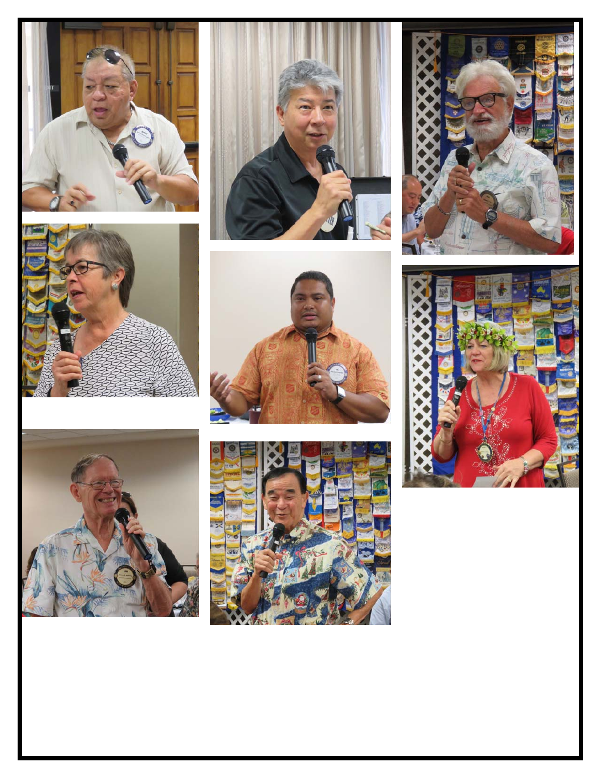